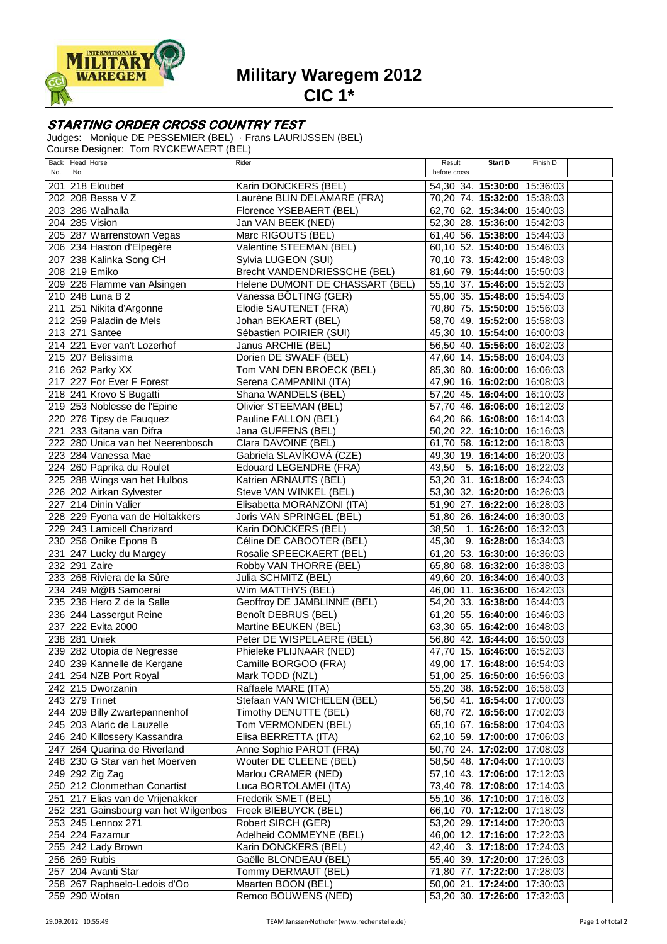

**Military Waregem 2012**

**CIC 1\***

## **STARTING ORDER CROSS COUNTRY TEST**

Judges: Monique DE PESSEMIER (BEL) · Frans LAURIJSSEN (BEL) Course Designer: Tom RYCKEWAERT (BEL)

| Back Head Horse<br>No.<br>No.       |                                      | Rider                                  | Result<br>before cross                                     | Start D                 | Finish D |  |
|-------------------------------------|--------------------------------------|----------------------------------------|------------------------------------------------------------|-------------------------|----------|--|
| 201 218 Eloubet                     |                                      | Karin DONCKERS (BEL)                   | 54,30 34. 15:30:00 15:36:03                                |                         |          |  |
| 202 208 Bessa V Z                   |                                      | Laurène BLIN DELAMARE (FRA)            | 70,20 74. 15:32:00 15:38:03                                |                         |          |  |
| 203 286 Walhalla                    |                                      | Florence YSEBAERT (BEL)                | 62,70 62. 15:34:00 15:40:03                                |                         |          |  |
| 204 285 Vision                      |                                      | Jan VAN BEEK (NED)                     | 52,30 28. 15:36:00 15:42:03                                |                         |          |  |
| 205 287 Warrenstown Vegas           |                                      | Marc RIGOUTS (BEL)                     | 61,40 56. 15:38:00 15:44:03                                |                         |          |  |
| 206 234 Haston d'Elpegère           |                                      | Valentine STEEMAN (BEL)                | 60,10 52. 15:40:00 15:46:03                                |                         |          |  |
| 207 238 Kalinka Song CH             |                                      | Sylvia LUGEON (SUI)                    | 70,10 73. 15:42:00 15:48:03                                |                         |          |  |
| 208 219 Emiko                       |                                      | <b>Brecht VANDENDRIESSCHE (BEL)</b>    | 81,60 79. 15:44:00 15:50:03                                |                         |          |  |
| 209 226 Flamme van Alsingen         |                                      | Helene DUMONT DE CHASSART (BEL)        | 55,10 37. 15:46:00 15:52:03                                |                         |          |  |
| 210 248 Luna B 2                    |                                      | Vanessa BÖLTING (GER)                  | 55,00 35. 15:48:00 15:54:03                                |                         |          |  |
| 211 251 Nikita d'Argonne            |                                      | Elodie SAUTENET (FRA)                  | 70,80 75. 15:50:00 15:56:03                                |                         |          |  |
| 212 259 Paladin de Mels             |                                      | Johan BEKAERT (BEL)                    | 58,70 49. 15:52:00 15:58:03                                |                         |          |  |
| 213 271 Santee                      |                                      | Sébastien POIRIER (SUI)                | 45,30 10. 15:54:00 16:00:03                                |                         |          |  |
| 214 221 Ever van't Lozerhof         |                                      | Janus ARCHIE (BEL)                     | 56,50 40. 15:56:00 16:02:03                                |                         |          |  |
| 215 207 Belissima                   |                                      | Dorien DE SWAEF (BEL)                  | 47,60 14. 15:58:00 16:04:03                                |                         |          |  |
| 216 262 Parky XX                    |                                      | Tom VAN DEN BROECK (BEL)               | 85,30 80. 16:00:00 16:06:03                                |                         |          |  |
| 217 227 For Ever F Forest           |                                      | Serena CAMPANINI (ITA)                 | 47,90 16. 16:02:00 16:08:03                                |                         |          |  |
| 218 241 Krovo S Bugatti             |                                      | Shana WANDELS (BEL)                    | 57,20 45. 16:04:00 16:10:03                                |                         |          |  |
| 219 253 Noblesse de l'Epine         |                                      | Olivier STEEMAN (BEL)                  | 57,70 46. 16:06:00 16:12:03                                |                         |          |  |
| 220 276 Tipsy de Fauquez            |                                      | Pauline FALLON (BEL)                   | 64,20 66. 16:08:00 16:14:03                                |                         |          |  |
| 221 233 Gitana van Difra            |                                      | Jana GUFFENS (BEL)                     | 50,20 22. 16:10:00 16:16:03                                |                         |          |  |
|                                     | 222 280 Unica van het Neerenbosch    | Clara DAVOINE (BEL)                    | 61,70 58. 16:12:00 16:18:03                                |                         |          |  |
| 223 284 Vanessa Mae                 |                                      | Gabriela SLAVÍKOVÁ (CZE)               | 49,30 19. 16:14:00 16:20:03                                |                         |          |  |
| 224 260 Paprika du Roulet           |                                      | Edouard LEGENDRE (FRA)                 | 43,50                                                      | $5.16:16:00$ $16:22:03$ |          |  |
| 225 288 Wings van het Hulbos        |                                      | Katrien ARNAUTS (BEL)                  | 53,20 31. 16:18:00 16:24:03                                |                         |          |  |
| 226 202 Airkan Sylvester            |                                      | Steve VAN WINKEL (BEL)                 | 53,30 32. 16:20:00 16:26:03                                |                         |          |  |
| 227 214 Dinin Valier                |                                      | Elisabetta MORANZONI (ITA)             | 51,90 27. 16:22:00 16:28:03                                |                         |          |  |
|                                     | 228 229 Fyona van de Holtakkers      | Joris VAN SPRINGEL (BEL)               | 51,80 26. 16:24:00 16:30:03                                |                         |          |  |
| 229 243 Lamicell Charizard          |                                      | Karin DONCKERS (BEL)                   | 38,50                                                      | 1. 16:26:00 16:32:03    |          |  |
| 230 256 Onike Epona B               |                                      | Céline DE CABOOTER (BEL)               | 45,30 9. 16:28:00 16:34:03                                 |                         |          |  |
| 231 247 Lucky du Margey             |                                      | Rosalie SPEECKAERT (BEL)               | 61,20 53. 16:30:00 16:36:03                                |                         |          |  |
| 232 291 Zaire                       |                                      | Robby VAN THORRE (BEL)                 | 65,80 68. 16:32:00 16:38:03                                |                         |          |  |
| 233 268 Riviera de la Sûre          |                                      | Julia SCHMITZ (BEL)                    | 49,60 20. 16:34:00 16:40:03                                |                         |          |  |
| 234 249 M@B Samoerai                |                                      | Wim MATTHYS (BEL)                      | 46,00 11. 16:36:00 16:42:03                                |                         |          |  |
| 235 236 Hero Z de la Salle          |                                      | Geoffroy DE JAMBLINNE (BEL)            | 54,20 33. 16:38:00 16:44:03                                |                         |          |  |
| 236 244 Lassergut Reine             |                                      | Benoît DEBRUS (BEL)                    | 61,20 55. 16:40:00 16:46:03                                |                         |          |  |
| 237 222 Evita 2000                  |                                      | Martine BEUKEN (BEL)                   | 63,30 65. 16:42:00 16:48:03                                |                         |          |  |
| 238 281 Uniek                       |                                      | Peter DE WISPELAERE (BEL)              | 56,80 42. 16:44:00 16:50:03                                |                         |          |  |
| 239 282 Utopia de Negresse          |                                      | Phieleke PLIJNAAR (NED)                | 47,70 15. 16:46:00 16:52:03                                |                         |          |  |
| 240 239 Kannelle de Kergane         |                                      | Camille BORGOO (FRA)                   | 49,00 17. 16:48:00 16:54:03                                |                         |          |  |
| 241 254 NZB Port Royal              |                                      | Mark TODD (NZL)<br>Raffaele MARE (ITA) | 51,00 25. 16:50:00 16:56:03<br>55,20 38. 16:52:00 16:58:03 |                         |          |  |
| 242 215 Dworzanin<br>243 279 Trinet |                                      | Stefaan VAN WICHELEN (BEL)             | 56,50 41. 16:54:00 17:00:03                                |                         |          |  |
| 244 209 Billy Zwartepannenhof       |                                      | Timothy DENUTTE (BEL)                  | 68,70 72. 16:56:00 17:02:03                                |                         |          |  |
| 245 203 Alaric de Lauzelle          |                                      | Tom VERMONDEN (BEL)                    | 65,10 67. 16:58:00 17:04:03                                |                         |          |  |
| 246 240 Killossery Kassandra        |                                      | Elisa BERRETTA (ITA)                   | 62,10 59. 17:00:00 17:06:03                                |                         |          |  |
| 247 264 Quarina de Riverland        |                                      | Anne Sophie PAROT (FRA)                | 50,70 24. 17:02:00 17:08:03                                |                         |          |  |
| 248 230 G Star van het Moerven      |                                      | Wouter DE CLEENE (BEL)                 | 58,50 48. 17:04:00 17:10:03                                |                         |          |  |
| 249 292 Zig Zag                     |                                      | Marlou CRAMER (NED)                    | 57,10 43. 17:06:00 17:12:03                                |                         |          |  |
| 250 212 Clonmethan Conartist        |                                      | Luca BORTOLAMEI (ITA)                  | 73,40 78. 17:08:00 17:14:03                                |                         |          |  |
|                                     | 251 217 Elias van de Vrijenakker     | Frederik SMET (BEL)                    | 55,10 36. 17:10:00 17:16:03                                |                         |          |  |
|                                     | 252 231 Gainsbourg van het Wilgenbos | Freek BIEBUYCK (BEL)                   | 66,10 70. 17:12:00 17:18:03                                |                         |          |  |
| 253 245 Lennox 271                  |                                      | Robert SIRCH (GER)                     | 53,20 29. 17:14:00 17:20:03                                |                         |          |  |
| 254 224 Fazamur                     |                                      | Adelheid COMMEYNE (BEL)                | 46,00 12. 17:16:00 17:22:03                                |                         |          |  |
| 255 242 Lady Brown                  |                                      | Karin DONCKERS (BEL)                   | 42,40 3. 17:18:00 17:24:03                                 |                         |          |  |
| 256 269 Rubis                       |                                      | Gaëlle BLONDEAU (BEL)                  | 55,40 39. 17:20:00 17:26:03                                |                         |          |  |
| 257 204 Avanti Star                 |                                      | Tommy DERMAUT (BEL)                    | 71,80 77. 17:22:00 17:28:03                                |                         |          |  |
| 258 267 Raphaelo-Ledois d'Oo        |                                      | Maarten BOON (BEL)                     | 50,00 21. 17:24:00 17:30:03                                |                         |          |  |
| 259 290 Wotan                       |                                      | Remco BOUWENS (NED)                    | 53,20 30. 17:26:00 17:32:03                                |                         |          |  |